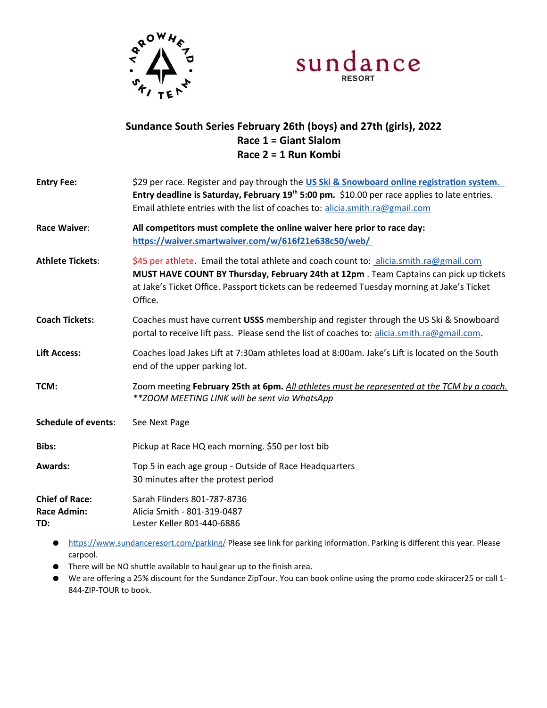



## **Sundance South Series February 26th (boys) and 27th (girls), 2022 Race 1 = Giant Slalom Race 2 = 1 Run Kombi**

| <b>Entry Fee:</b>          | \$29 per race. Register and pay through the US Ski & Snowboard online registration system.            |  |
|----------------------------|-------------------------------------------------------------------------------------------------------|--|
|                            | Entry deadline is Saturday, February 19th 5:00 pm. \$10.00 per race applies to late entries.          |  |
|                            | Email athlete entries with the list of coaches to: alicia.smith.ra@gmail.com                          |  |
| Race Waiver:               | All competitors must complete the online waiver here prior to race day:                               |  |
|                            | https://waiver.smartwaiver.com/w/616f21e638c50/web/                                                   |  |
| <b>Athlete Tickets:</b>    | \$45 per athlete. Email the total athlete and coach count to: alicia.smith.ra@gmail.com               |  |
|                            | MUST HAVE COUNT BY Thursday, February 24th at 12pm. Team Captains can pick up tickets                 |  |
|                            | at Jake's Ticket Office. Passport tickets can be redeemed Tuesday morning at Jake's Ticket<br>Office. |  |
| <b>Coach Tickets:</b>      | Coaches must have current USSS membership and register through the US Ski & Snowboard                 |  |
|                            | portal to receive lift pass. Please send the list of coaches to: alicia.smith.ra@gmail.com.           |  |
| <b>Lift Access:</b>        | Coaches load Jakes Lift at 7:30am athletes load at 8:00am. Jake's Lift is located on the South        |  |
|                            | end of the upper parking lot.                                                                         |  |
| TCM:                       | Zoom meeting February 25th at 6pm. All athletes must be represented at the TCM by a coach.            |  |
|                            | ** ZOOM MEETING LINK will be sent via WhatsApp                                                        |  |
| <b>Schedule of events:</b> | See Next Page                                                                                         |  |
| Bibs:                      | Pickup at Race HQ each morning. \$50 per lost bib                                                     |  |
| <b>Awards:</b>             | Top 5 in each age group - Outside of Race Headquarters                                                |  |
|                            | 30 minutes after the protest period                                                                   |  |
| <b>Chief of Race:</b>      | Sarah Flinders 801-787-8736                                                                           |  |
| <b>Race Admin:</b>         | Alicia Smith - 801-319-0487                                                                           |  |
| TD:                        | Lester Keller 801-440-6886                                                                            |  |

- ●<https://www.sundanceresort.com/parking/> Please see link for parking information. Parking is different this year. Please carpool.
- There will be NO shuttle available to haul gear up to the finish area.
- We are offering a 25% discount for the Sundance ZipTour. You can book online using the promo code skiracer25 or call 1- 844-ZIP-TOUR to book.